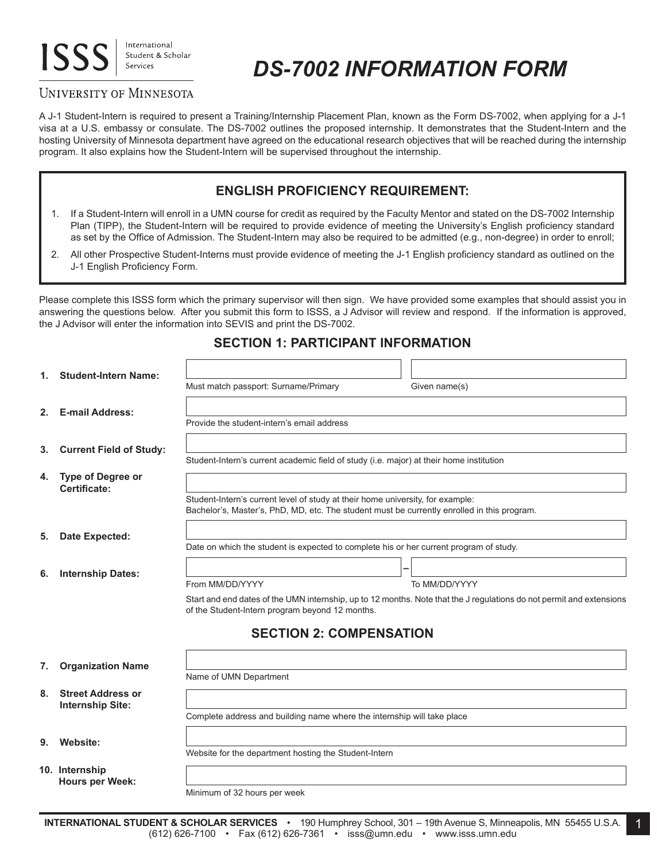# **ISS**

International Student & Scholar Services

# *DS-7002 INFORMATION FORM*

# UNIVERSITY OF MINNESOTA

A J-1 Student-Intern is required to present a Training/Internship Placement Plan, known as the Form DS-7002, when applying for a J-1 visa at a U.S. embassy or consulate. The DS-7002 outlines the proposed internship. It demonstrates that the Student-Intern and the hosting University of Minnesota department have agreed on the educational research objectives that will be reached during the internship program. It also explains how the Student-Intern will be supervised throughout the internship.

# **ENGLISH PROFICIENCY REQUIREMENT:**

- 1. If a Student-Intern will enroll in a UMN course for credit as required by the Faculty Mentor and stated on the DS-7002 Internship Plan (TIPP), the Student-Intern will be required to provide evidence of meeting the University's English proficiency standard as set by the Office of Admission. The Student-Intern may also be required to be admitted (e.g., non-degree) in order to enroll;
- 2. All other Prospective Student-Interns must provide evidence of meeting the J-1 English proficiency standard as outlined on the J-1 English Proficiency Form.

Please complete this ISSS form which the primary supervisor will then sign. We have provided some examples that should assist you in answering the questions below. After you submit this form to ISSS, a J Advisor will review and respond. If the information is approved, the J Advisor will enter the information into SEVIS and print the DS-7002.

| 1. | <b>Student-Intern Name:</b>                         |                                                                                                                                                                               |                                |                                                                                                                      |  |
|----|-----------------------------------------------------|-------------------------------------------------------------------------------------------------------------------------------------------------------------------------------|--------------------------------|----------------------------------------------------------------------------------------------------------------------|--|
|    |                                                     | Must match passport: Surname/Primary                                                                                                                                          |                                | Given name(s)                                                                                                        |  |
| 2. | <b>E-mail Address:</b>                              |                                                                                                                                                                               |                                |                                                                                                                      |  |
|    |                                                     | Provide the student-intern's email address                                                                                                                                    |                                |                                                                                                                      |  |
| 3. | <b>Current Field of Study:</b>                      |                                                                                                                                                                               |                                |                                                                                                                      |  |
|    |                                                     | Student-Intern's current academic field of study (i.e. major) at their home institution                                                                                       |                                |                                                                                                                      |  |
| 4. | Type of Degree or<br>Certificate:                   |                                                                                                                                                                               |                                |                                                                                                                      |  |
|    |                                                     | Student-Intern's current level of study at their home university, for example:<br>Bachelor's, Master's, PhD, MD, etc. The student must be currently enrolled in this program. |                                |                                                                                                                      |  |
| 5. | Date Expected:                                      |                                                                                                                                                                               |                                |                                                                                                                      |  |
|    |                                                     | Date on which the student is expected to complete his or her current program of study.                                                                                        |                                |                                                                                                                      |  |
| 6. | <b>Internship Dates:</b>                            |                                                                                                                                                                               |                                | -                                                                                                                    |  |
|    |                                                     | From MM/DD/YYYY                                                                                                                                                               |                                | To MM/DD/YYYY                                                                                                        |  |
|    |                                                     | of the Student-Intern program beyond 12 months.                                                                                                                               |                                | Start and end dates of the UMN internship, up to 12 months. Note that the J regulations do not permit and extensions |  |
|    |                                                     |                                                                                                                                                                               | <b>SECTION 2: COMPENSATION</b> |                                                                                                                      |  |
| 7. | <b>Organization Name</b>                            |                                                                                                                                                                               |                                |                                                                                                                      |  |
|    |                                                     | Name of UMN Department                                                                                                                                                        |                                |                                                                                                                      |  |
| 8. | <b>Street Address or</b><br><b>Internship Site:</b> |                                                                                                                                                                               |                                |                                                                                                                      |  |
|    |                                                     | Complete address and building name where the internship will take place                                                                                                       |                                |                                                                                                                      |  |
| 9. | Website:                                            |                                                                                                                                                                               |                                |                                                                                                                      |  |
|    |                                                     | Website for the department hosting the Student-Intern                                                                                                                         |                                |                                                                                                                      |  |
|    | 10. Internship<br><b>Hours per Week:</b>            |                                                                                                                                                                               |                                |                                                                                                                      |  |
|    |                                                     | Minimum of 32 hours per week                                                                                                                                                  |                                |                                                                                                                      |  |

1

# **SECTION 1: PARTICIPANT INFORMATION**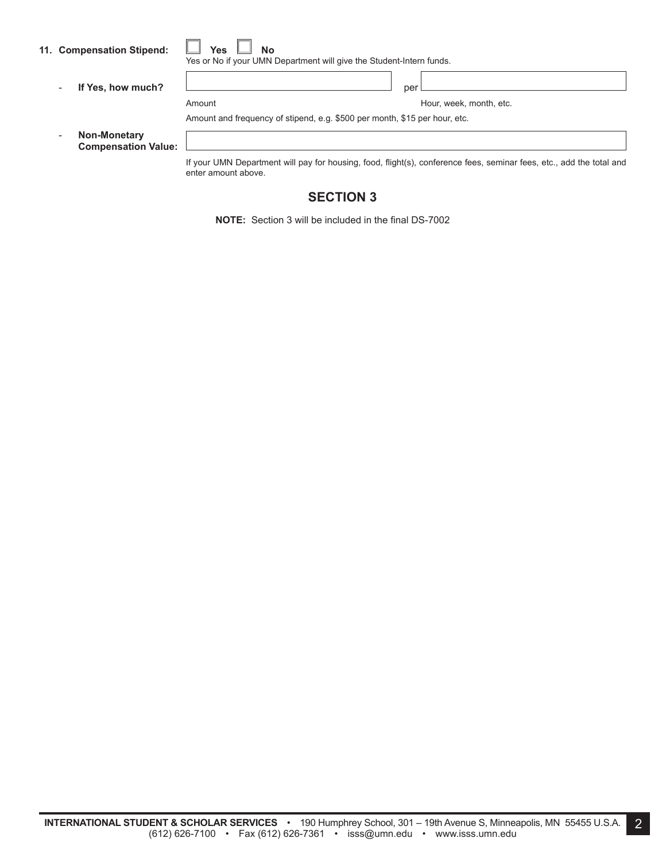|  | 11. Compensation Stipend: |  | <b>Yes</b> |  | <b>No</b> |
|--|---------------------------|--|------------|--|-----------|
|--|---------------------------|--|------------|--|-----------|

|--|--|--|

Yes or No if your UMN Department will give the Student-Intern funds.

- **If Yes, how much?** per

Amount **Amount** Amount **Hour, week, month, etc.** 

Amount and frequency of stipend, e.g. \$500 per month, \$15 per hour, etc.

- **Non-Monetary Compensation Value:**

> If your UMN Department will pay for housing, food, flight(s), conference fees, seminar fees, etc., add the total and enter amount above.

# **SECTION 3**

**NOTE:** Section 3 will be included in the final DS-7002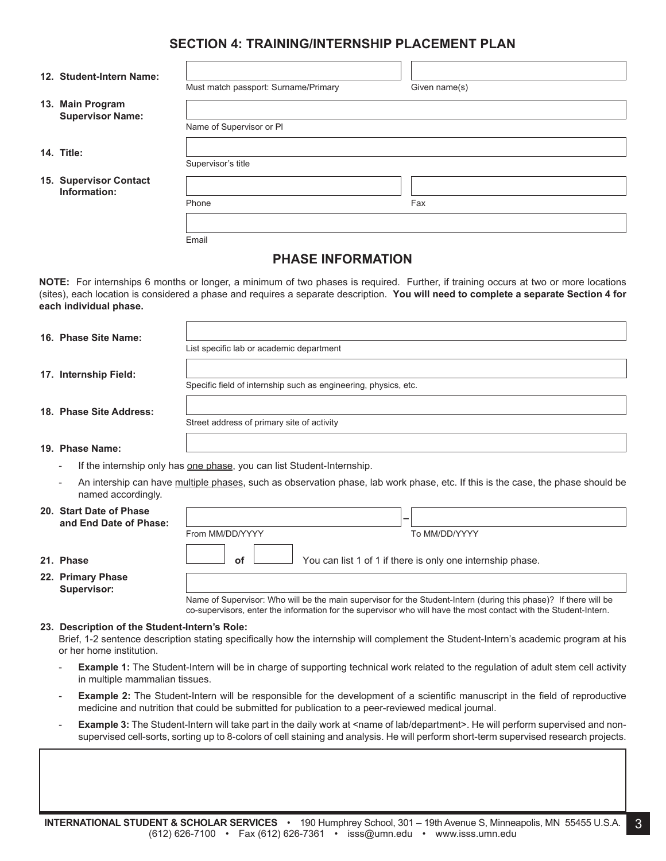# **SECTION 4: TRAINING/INTERNSHIP PLACEMENT PLAN**

| 12. Student-Intern Name:                    | Must match passport: Surname/Primary | Given name(s) |
|---------------------------------------------|--------------------------------------|---------------|
| 13. Main Program<br><b>Supervisor Name:</b> |                                      |               |
|                                             | Name of Supervisor or PI             |               |
| 14. Title:                                  |                                      |               |
|                                             | Supervisor's title                   |               |
| 15. Supervisor Contact<br>Information:      |                                      |               |
|                                             | Phone                                | Fax           |
|                                             |                                      |               |
|                                             | Email                                |               |

## **PHASE INFORMATION**

**NOTE:** For internships 6 months or longer, a minimum of two phases is required. Further, if training occurs at two or more locations (sites), each location is considered a phase and requires a separate description. You will need to complete a separate Section 4 for **each individual phase.**

| 16. Phase Site Name: |  |
|----------------------|--|
|----------------------|--|

**17. Internship Field:**

Specific field of internship such as engineering, physics, etc.

**18. Phase Site Address:**

Street address of primary site of activity

List specific lab or academic department

#### **19. Phase Name:**

If the internship only has one phase, you can list Student-Internship.

From MM/DD/YYYY

An intership can have multiple phases, such as observation phase, lab work phase, etc. If this is the case, the phase should be named accordingly.

#### **20. Start Date of Phase and End Date of Phase: –**

| 21. Phase |  |
|-----------|--|

#### **22. Primary Phase Supervisor:**

Name of Supervisor: Who will be the main supervisor for the Student-Intern (during this phase)? If there will be co-supervisors, enter the information for the supervisor who will have the most contact with the Student-Intern.

You can list 1 of 1 if there is only one internship phase.

To MM/DD/YYYY

#### **23. Description of the Student-Intern's Role:**

Brief, 1-2 sentence description stating specifically how the internship will complement the Student-Intern's academic program at his or her home institution.

- **Example 1:** The Student-Intern will be in charge of supporting technical work related to the regulation of adult stem cell activity in multiple mammalian tissues.
- **Example 2:** The Student-Intern will be responsible for the development of a scientific manuscript in the field of reproductive medicine and nutrition that could be submitted for publication to a peer-reviewed medical journal.
- **Example 3:** The Student-Intern will take part in the daily work at <name of lab/department>. He will perform supervised and nonsupervised cell-sorts, sorting up to 8-colors of cell staining and analysis. He will perform short-term supervised research projects.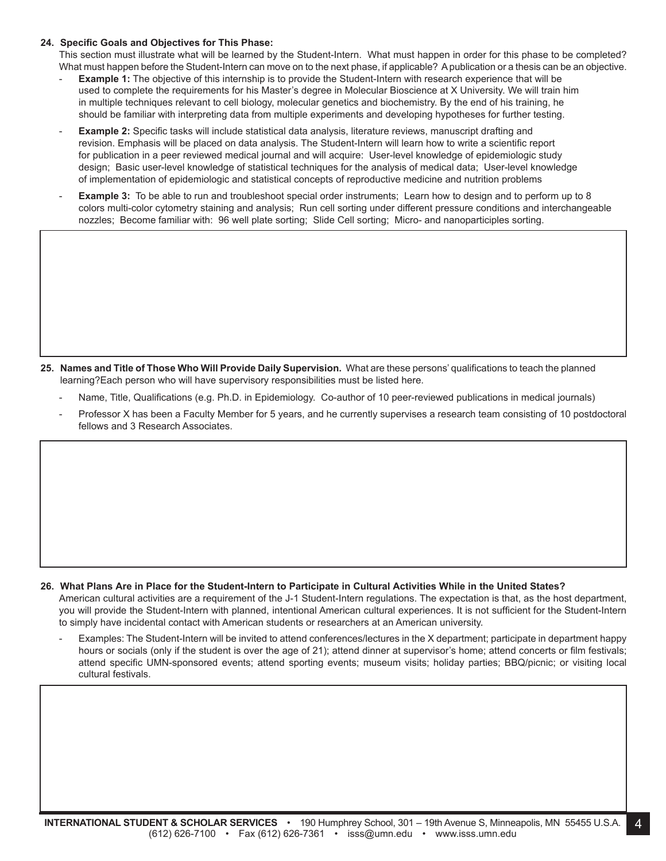#### **24. Specific Goals and Objectives for This Phase:**

This section must illustrate what will be learned by the Student-Intern. What must happen in order for this phase to be completed? What must happen before the Student-Intern can move on to the next phase, if applicable? Apublication or a thesis can be an objective.

- **Example 1:** The objective of this internship is to provide the Student-Intern with research experience that will be used to complete the requirements for his Master's degree in Molecular Bioscience at X University. We will train him in multiple techniques relevant to cell biology, molecular genetics and biochemistry. By the end of his training, he should be familiar with interpreting data from multiple experiments and developing hypotheses for further testing.
- **Example 2:** Specific tasks will include statistical data analysis, literature reviews, manuscript drafting and revision. Emphasis will be placed on data analysis. The Student-Intern will learn how to write a scientific report for publication in a peer reviewed medical journal and will acquire: User-level knowledge of epidemiologic study design; Basic user-level knowledge of statistical techniques for the analysis of medical data; User-level knowledge of implementation of epidemiologic and statistical concepts of reproductive medicine and nutrition problems
- **Example 3:** To be able to run and troubleshoot special order instruments; Learn how to design and to perform up to 8 colors multi-color cytometry staining and analysis; Run cell sorting under different pressure conditions and interchangeable nozzles; Become familiar with: 96 well plate sorting; Slide Cell sorting; Micro- and nanoparticiples sorting.

- 25. Names and Title of Those Who Will Provide Daily Supervision. What are these persons' qualifications to teach the planned learning?Each person who will have supervisory responsibilities must be listed here.
	- Name, Title, Qualifications (e.g. Ph.D. in Epidemiology. Co-author of 10 peer-reviewed publications in medical journals)
	- Professor X has been a Faculty Member for 5 years, and he currently supervises a research team consisting of 10 postdoctoral fellows and 3 Research Associates.

#### 26. What Plans Are in Place for the Student-Intern to Participate in Cultural Activities While in the United States? American cultural activities are a requirement of the J-1 Student-Intern regulations. The expectation is that, as the host department, you will provide the Student-Intern with planned, intentional American cultural experiences. It is not sufficient for the Student-Intern to simply have incidental contact with American students or researchers at an American university.

Examples: The Student-Intern will be invited to attend conferences/lectures in the X department; participate in department happy hours or socials (only if the student is over the age of 21); attend dinner at supervisor's home; attend concerts or film festivals; attend specific UMN-sponsored events; attend sporting events; museum visits; holiday parties; BBQ/picnic; or visiting local cultural festivals.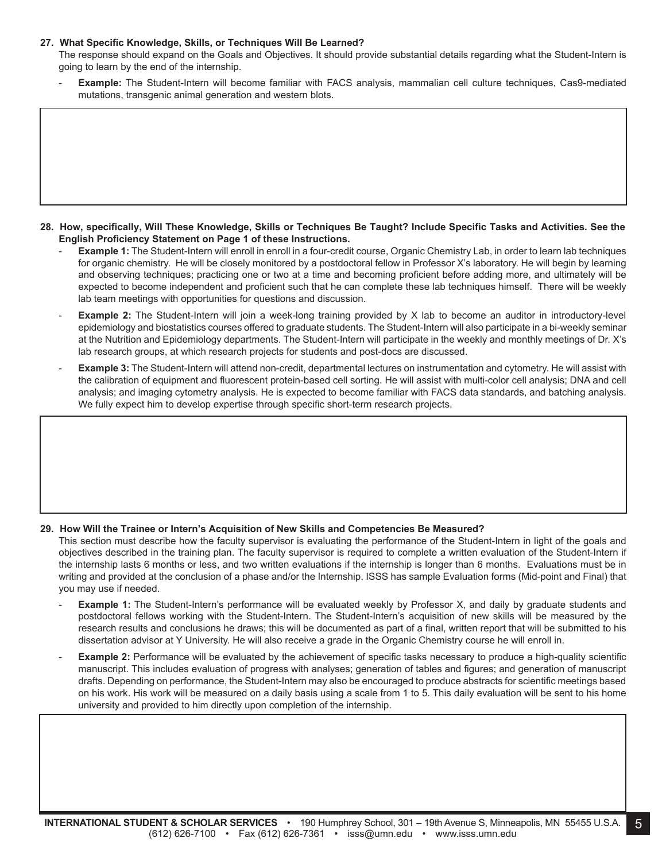#### **27. What Specific Knowledge, Skills, or Techniques Will Be Learned?**

The response should expand on the Goals and Objectives. It should provide substantial details regarding what the Student-Intern is going to learn by the end of the internship.

Example: The Student-Intern will become familiar with FACS analysis, mammalian cell culture techniques, Cas9-mediated mutations, transgenic animal generation and western blots.

- 28. How, specifically, Will These Knowledge, Skills or Techniques Be Taught? Include Specific Tasks and Activities. See the **English Proficiency Statement on Page 1 of these Instructions.**
	- Example 1: The Student-Intern will enroll in enroll in a four-credit course, Organic Chemistry Lab, in order to learn lab techniques for organic chemistry. He will be closely monitored by a postdoctoral fellow in Professor X's laboratory. He will begin by learning and observing techniques; practicing one or two at a time and becoming proficient before adding more, and ultimately will be expected to become independent and proficient such that he can complete these lab techniques himself. There will be weekly lab team meetings with opportunities for questions and discussion.
	- **Example 2:** The Student-Intern will join a week-long training provided by X lab to become an auditor in introductory-level epidemiology and biostatistics courses offered to graduate students. The Student-Intern will also participate in a bi-weekly seminar at the Nutrition and Epidemiology departments. The Student-Intern will participate in the weekly and monthly meetings of Dr. X's lab research groups, at which research projects for students and post-docs are discussed.
	- Example 3: The Student-Intern will attend non-credit, departmental lectures on instrumentation and cytometry. He will assist with the calibration of equipment and fluorescent protein-based cell sorting. He will assist with multi-color cell analysis; DNA and cell analysis; and imaging cytometry analysis. He is expected to become familiar with FACS data standards, and batching analysis. We fully expect him to develop expertise through specific short-term research projects.

### **29. How Will the Trainee or Intern's Acquisition of New Skills and Competencies Be Measured?**

This section must describe how the faculty supervisor is evaluating the performance of the Student-Intern in light of the goals and objectives described in the training plan. The faculty supervisor is required to complete a written evaluation of the Student-Intern if the internship lasts 6 months or less, and two written evaluations if the internship is longer than 6 months. Evaluations must be in writing and provided at the conclusion of a phase and/or the Internship. ISSS has sample Evaluation forms (Mid-point and Final) that you may use if needed.

- **Example 1:** The Student-Intern's performance will be evaluated weekly by Professor X, and daily by graduate students and postdoctoral fellows working with the Student-Intern. The Student-Intern's acquisition of new skills will be measured by the research results and conclusions he draws; this will be documented as part of a final, written report that will be submitted to his dissertation advisor at Y University. He will also receive a grade in the Organic Chemistry course he will enroll in.
- **Example 2:** Performance will be evaluated by the achievement of specific tasks necessary to produce a high-quality scientific manuscript. This includes evaluation of progress with analyses; generation of tables and figures; and generation of manuscript drafts. Depending on performance, the Student-Intern may also be encouraged to produce abstracts for scientific meetings based on his work. His work will be measured on a daily basis using a scale from 1 to 5. This daily evaluation will be sent to his home university and provided to him directly upon completion of the internship.